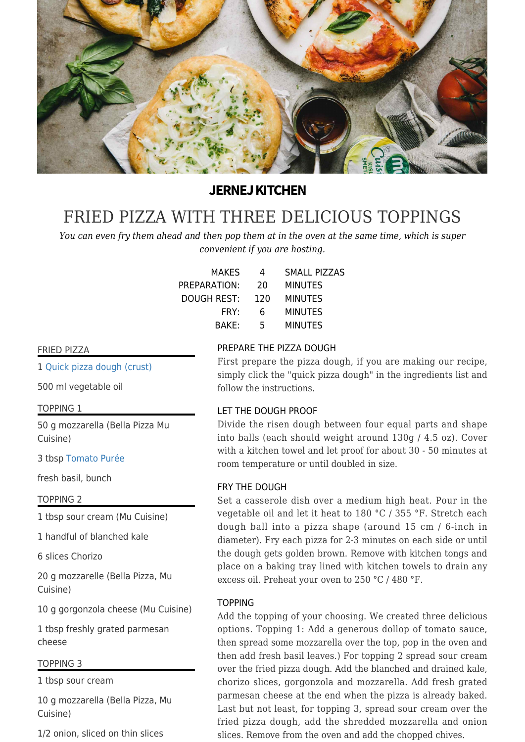

# **JERNEJ KITCHEN**

# [FRIED PIZZA WITH THREE DELICIOUS TOPPINGS](https://jernejkitchen.com/recipes/bread-and-doughs/fried-pizza-three-delicious-toppings)

*You can even fry them ahead and then pop them at in the oven at the same time, which is super convenient if you are hosting.*

| <b>MAKES</b>       | 4   | SMALL PIZZAS   |
|--------------------|-----|----------------|
| PREPARATION:       | 20  | <b>MINUTES</b> |
| <b>DOUGH REST:</b> | 120 | <b>MINUTES</b> |
| FRY:               | 6   | <b>MINUTES</b> |
| <b>BAKF:</b>       | 5   | <b>MINUTES</b> |
|                    |     |                |

### FRIED PIZZA

1 [Quick pizza dough \(crust\)](https://jernejkitchen.com/recipes/bread-and-doughs/quick-pizza-dough-crust)

500 ml vegetable oil

TOPPING 1

50 g mozzarella (Bella Pizza Mu Cuisine)

3 tbsp [Tomato Purée](https://jernejkitchen.com/recipes/vegetables/tomato-puree)

fresh basil, bunch

TOPPING 2

1 tbsp sour cream (Mu Cuisine)

1 handful of blanched kale

6 slices Chorizo

20 g mozzarelle (Bella Pizza, Mu Cuisine)

10 g gorgonzola cheese (Mu Cuisine)

1 tbsp freshly grated parmesan cheese

#### TOPPING 3

1 tbsp sour cream

10 g mozzarella (Bella Pizza, Mu Cuisine)

1/2 onion, sliced on thin slices

#### PREPARE THE PIZZA DOUGH

First prepare the pizza dough, if you are making our recipe, simply click the "quick pizza dough" in the ingredients list and follow the instructions.

#### LET THE DOUGH PROOF

Divide the risen dough between four equal parts and shape into balls (each should weight around 130g / 4.5 oz). Cover with a kitchen towel and let proof for about 30 - 50 minutes at room temperature or until doubled in size.

#### FRY THE DOUGH

Set a casserole dish over a medium high heat. Pour in the vegetable oil and let it heat to 180 °C / 355 °F. Stretch each dough ball into a pizza shape (around 15 cm / 6-inch in diameter). Fry each pizza for 2-3 minutes on each side or until the dough gets golden brown. Remove with kitchen tongs and place on a baking tray lined with kitchen towels to drain any excess oil. Preheat your oven to 250 °C / 480 °F.

#### TOPPING

Add the topping of your choosing. We created three delicious options. Topping 1: Add a generous dollop of tomato sauce, then spread some mozzarella over the top, pop in the oven and then add fresh basil leaves.) For topping 2 spread sour cream over the fried pizza dough. Add the blanched and drained kale, chorizo slices, gorgonzola and mozzarella. Add fresh grated parmesan cheese at the end when the pizza is already baked. Last but not least, for topping 3, spread sour cream over the fried pizza dough, add the shredded mozzarella and onion slices. Remove from the oven and add the chopped chives.